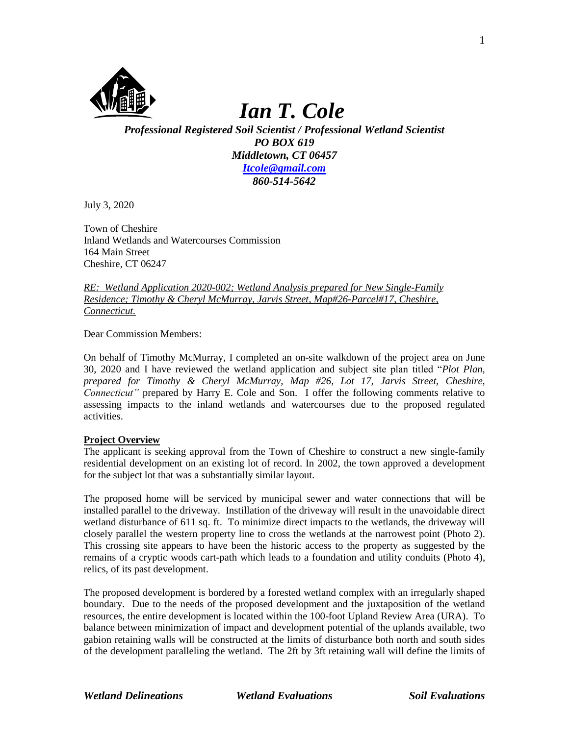

# *Ian T. Cole*

*Professional Registered Soil Scientist / Professional Wetland Scientist PO BOX 619 Middletown, CT 06457 [Itcole@gmail.com](mailto:Itcole@gmail.com) 860-514-5642*

July 3, 2020

Town of Cheshire Inland Wetlands and Watercourses Commission 164 Main Street Cheshire, CT 06247

*RE: Wetland Application 2020-002; Wetland Analysis prepared for New Single-Family Residence; Timothy & Cheryl McMurray, Jarvis Street, Map#26-Parcel#17, Cheshire, Connecticut.* 

Dear Commission Members:

On behalf of Timothy McMurray, I completed an on-site walkdown of the project area on June 30, 2020 and I have reviewed the wetland application and subject site plan titled "*Plot Plan, prepared for Timothy & Cheryl McMurray, Map #26, Lot 17, Jarvis Street, Cheshire, Connecticut"* prepared by Harry E. Cole and Son. I offer the following comments relative to assessing impacts to the inland wetlands and watercourses due to the proposed regulated activities.

# **Project Overview**

The applicant is seeking approval from the Town of Cheshire to construct a new single-family residential development on an existing lot of record. In 2002, the town approved a development for the subject lot that was a substantially similar layout.

The proposed home will be serviced by municipal sewer and water connections that will be installed parallel to the driveway. Instillation of the driveway will result in the unavoidable direct wetland disturbance of 611 sq. ft. To minimize direct impacts to the wetlands, the driveway will closely parallel the western property line to cross the wetlands at the narrowest point (Photo 2). This crossing site appears to have been the historic access to the property as suggested by the remains of a cryptic woods cart-path which leads to a foundation and utility conduits (Photo 4), relics, of its past development.

The proposed development is bordered by a forested wetland complex with an irregularly shaped boundary. Due to the needs of the proposed development and the juxtaposition of the wetland resources, the entire development is located within the 100-foot Upland Review Area (URA). To balance between minimization of impact and development potential of the uplands available, two gabion retaining walls will be constructed at the limits of disturbance both north and south sides of the development paralleling the wetland. The 2ft by 3ft retaining wall will define the limits of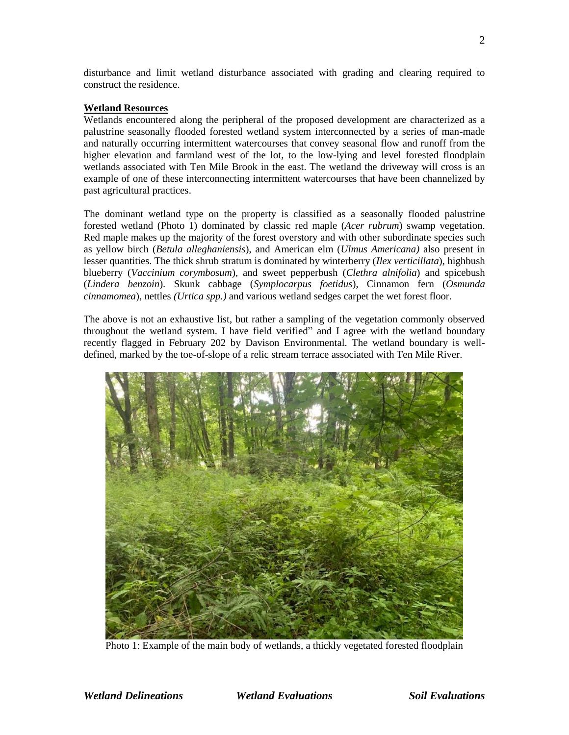disturbance and limit wetland disturbance associated with grading and clearing required to construct the residence.

#### **Wetland Resources**

Wetlands encountered along the peripheral of the proposed development are characterized as a palustrine seasonally flooded forested wetland system interconnected by a series of man-made and naturally occurring intermittent watercourses that convey seasonal flow and runoff from the higher elevation and farmland west of the lot, to the low-lying and level forested floodplain wetlands associated with Ten Mile Brook in the east. The wetland the driveway will cross is an example of one of these interconnecting intermittent watercourses that have been channelized by past agricultural practices.

The dominant wetland type on the property is classified as a seasonally flooded palustrine forested wetland (Photo 1) dominated by classic red maple (*Acer rubrum*) swamp vegetation. Red maple makes up the majority of the forest overstory and with other subordinate species such as yellow birch (*Betula alleghaniensis*), and American elm (*Ulmus Americana)* also present in lesser quantities. The thick shrub stratum is dominated by winterberry (*Ilex verticillata*), highbush blueberry (*Vaccinium corymbosum*), and sweet pepperbush (*Clethra alnifolia*) and spicebush (*Lindera benzoin*)*.* Skunk cabbage (*Symplocarpus foetidus*), Cinnamon fern (*Osmunda cinnamomea*), nettles *(Urtica spp.)* and various wetland sedges carpet the wet forest floor.

The above is not an exhaustive list, but rather a sampling of the vegetation commonly observed throughout the wetland system. I have field verified" and I agree with the wetland boundary recently flagged in February 202 by Davison Environmental. The wetland boundary is welldefined, marked by the toe-of-slope of a relic stream terrace associated with Ten Mile River.



Photo 1: Example of the main body of wetlands, a thickly vegetated forested floodplain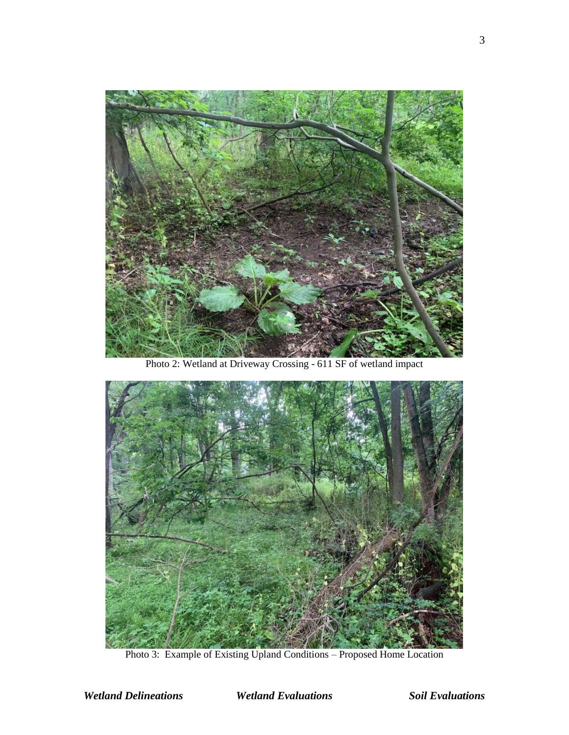

Photo 2: Wetland at Driveway Crossing - 611 SF of wetland impact



Photo 3: Example of Existing Upland Conditions – Proposed Home Location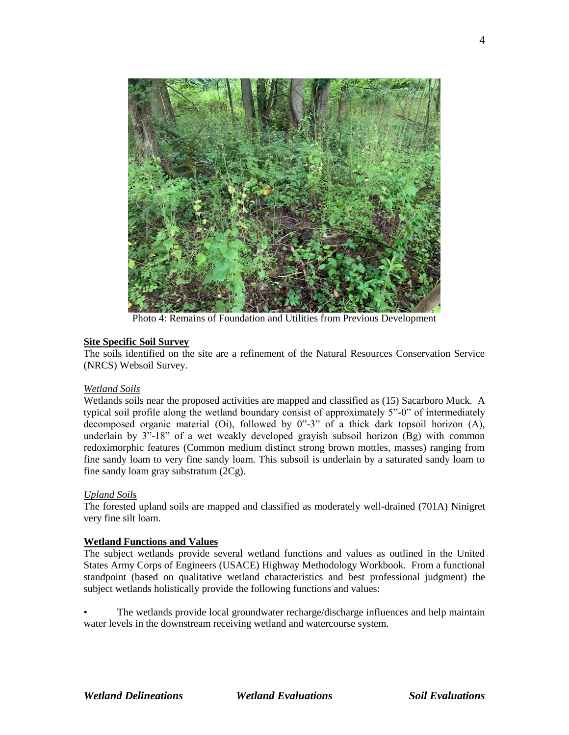

Photo 4: Remains of Foundation and Utilities from Previous Development

# **Site Specific Soil Survey**

The soils identified on the site are a refinement of the Natural Resources Conservation Service (NRCS) Websoil Survey.

#### *Wetland Soils*

Wetlands soils near the proposed activities are mapped and classified as (15) Sacarboro Muck. A typical soil profile along the wetland boundary consist of approximately 5"-0" of intermediately decomposed organic material (Oi), followed by 0"-3" of a thick dark topsoil horizon (A), underlain by  $3"$ -18" of a wet weakly developed grayish subsoil horizon  $(Bg)$  with common redoximorphic features (Common medium distinct strong brown mottles, masses) ranging from fine sandy loam to very fine sandy loam. This subsoil is underlain by a saturated sandy loam to fine sandy loam gray substratum (2Cg).

# *Upland Soils*

The forested upland soils are mapped and classified as moderately well-drained (701A) Ninigret very fine silt loam.

#### **Wetland Functions and Values**

The subject wetlands provide several wetland functions and values as outlined in the United States Army Corps of Engineers (USACE) Highway Methodology Workbook. From a functional standpoint (based on qualitative wetland characteristics and best professional judgment) the subject wetlands holistically provide the following functions and values:

The wetlands provide local groundwater recharge/discharge influences and help maintain water levels in the downstream receiving wetland and watercourse system.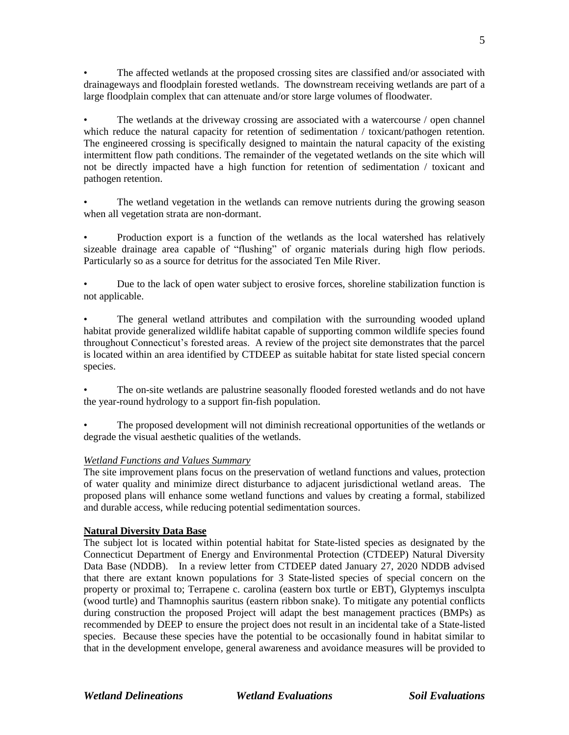• The affected wetlands at the proposed crossing sites are classified and/or associated with drainageways and floodplain forested wetlands. The downstream receiving wetlands are part of a large floodplain complex that can attenuate and/or store large volumes of floodwater.

The wetlands at the driveway crossing are associated with a watercourse / open channel which reduce the natural capacity for retention of sedimentation / toxicant/pathogen retention. The engineered crossing is specifically designed to maintain the natural capacity of the existing intermittent flow path conditions. The remainder of the vegetated wetlands on the site which will not be directly impacted have a high function for retention of sedimentation / toxicant and pathogen retention.

The wetland vegetation in the wetlands can remove nutrients during the growing season when all vegetation strata are non-dormant.

• Production export is a function of the wetlands as the local watershed has relatively sizeable drainage area capable of "flushing" of organic materials during high flow periods. Particularly so as a source for detritus for the associated Ten Mile River.

• Due to the lack of open water subject to erosive forces, shoreline stabilization function is not applicable.

• The general wetland attributes and compilation with the surrounding wooded upland habitat provide generalized wildlife habitat capable of supporting common wildlife species found throughout Connecticut's forested areas. A review of the project site demonstrates that the parcel is located within an area identified by CTDEEP as suitable habitat for state listed special concern species.

• The on-site wetlands are palustrine seasonally flooded forested wetlands and do not have the year-round hydrology to a support fin-fish population.

• The proposed development will not diminish recreational opportunities of the wetlands or degrade the visual aesthetic qualities of the wetlands.

# *Wetland Functions and Values Summary*

The site improvement plans focus on the preservation of wetland functions and values, protection of water quality and minimize direct disturbance to adjacent jurisdictional wetland areas. The proposed plans will enhance some wetland functions and values by creating a formal, stabilized and durable access, while reducing potential sedimentation sources.

# **Natural Diversity Data Base**

The subject lot is located within potential habitat for State-listed species as designated by the Connecticut Department of Energy and Environmental Protection (CTDEEP) Natural Diversity Data Base (NDDB). In a review letter from CTDEEP dated January 27, 2020 NDDB advised that there are extant known populations for 3 State-listed species of special concern on the property or proximal to; Terrapene c. carolina (eastern box turtle or EBT), Glyptemys insculpta (wood turtle) and Thamnophis sauritus (eastern ribbon snake). To mitigate any potential conflicts during construction the proposed Project will adapt the best management practices (BMPs) as recommended by DEEP to ensure the project does not result in an incidental take of a State-listed species. Because these species have the potential to be occasionally found in habitat similar to that in the development envelope, general awareness and avoidance measures will be provided to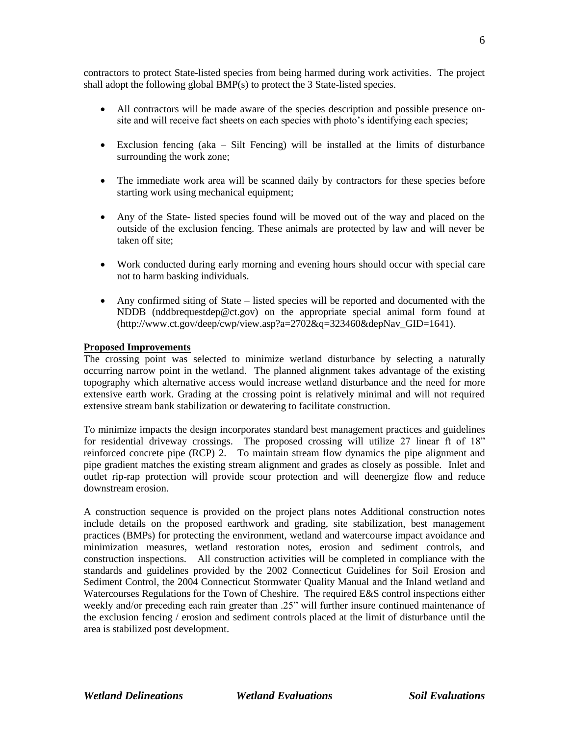contractors to protect State-listed species from being harmed during work activities. The project shall adopt the following global BMP(s) to protect the 3 State-listed species.

- All contractors will be made aware of the species description and possible presence onsite and will receive fact sheets on each species with photo's identifying each species;
- Exclusion fencing (aka Silt Fencing) will be installed at the limits of disturbance surrounding the work zone;
- The immediate work area will be scanned daily by contractors for these species before starting work using mechanical equipment;
- Any of the State- listed species found will be moved out of the way and placed on the outside of the exclusion fencing. These animals are protected by law and will never be taken off site;
- Work conducted during early morning and evening hours should occur with special care not to harm basking individuals.
- Any confirmed siting of State listed species will be reported and documented with the NDDB (nddbrequestdep@ct.gov) on the appropriate special animal form found at  $(\text{http://www.ct.gov/deep/cwp/view.asp?a=2702&q=323460&dep\\Nav GID=1641).$

#### **Proposed Improvements**

The crossing point was selected to minimize wetland disturbance by selecting a naturally occurring narrow point in the wetland. The planned alignment takes advantage of the existing topography which alternative access would increase wetland disturbance and the need for more extensive earth work. Grading at the crossing point is relatively minimal and will not required extensive stream bank stabilization or dewatering to facilitate construction.

To minimize impacts the design incorporates standard best management practices and guidelines for residential driveway crossings. The proposed crossing will utilize 27 linear ft of 18" reinforced concrete pipe (RCP) 2. To maintain stream flow dynamics the pipe alignment and pipe gradient matches the existing stream alignment and grades as closely as possible. Inlet and outlet rip-rap protection will provide scour protection and will deenergize flow and reduce downstream erosion.

A construction sequence is provided on the project plans notes Additional construction notes include details on the proposed earthwork and grading, site stabilization, best management practices (BMPs) for protecting the environment, wetland and watercourse impact avoidance and minimization measures, wetland restoration notes, erosion and sediment controls, and construction inspections. All construction activities will be completed in compliance with the standards and guidelines provided by the 2002 Connecticut Guidelines for Soil Erosion and Sediment Control, the 2004 Connecticut Stormwater Quality Manual and the Inland wetland and Watercourses Regulations for the Town of Cheshire. The required E&S control inspections either weekly and/or preceding each rain greater than .25" will further insure continued maintenance of the exclusion fencing / erosion and sediment controls placed at the limit of disturbance until the area is stabilized post development.